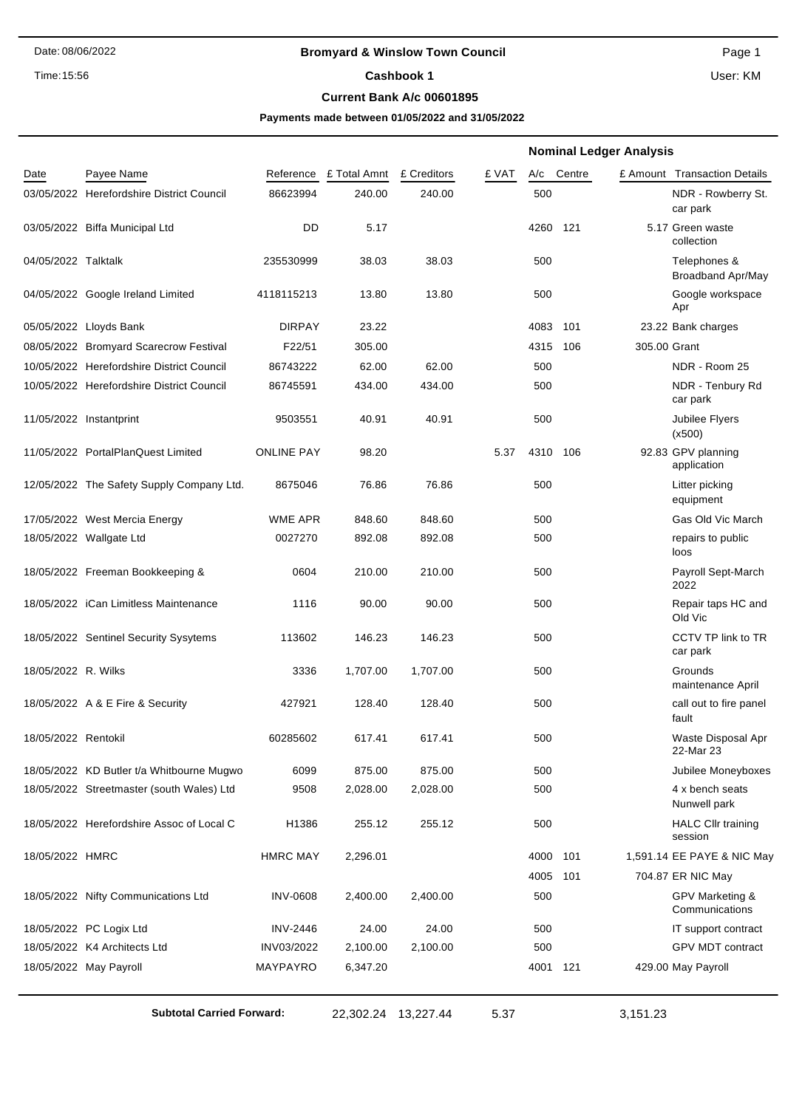## Date: 08/06/2022 **Bromyard & Winslow Town Council** Page 1

## **Current Bank A/c 00601895**

**Payments made between 01/05/2022 and 31/05/2022**

|                     |                                           |                   |                     |             |       | <b>Nominal Ledger Analysis</b> |              |                                          |
|---------------------|-------------------------------------------|-------------------|---------------------|-------------|-------|--------------------------------|--------------|------------------------------------------|
| Date                | Payee Name                                | Reference         | £ Total Amnt        | £ Creditors | £ VAT | Centre<br>A/c                  |              | £ Amount Transaction Details             |
|                     | 03/05/2022 Herefordshire District Council | 86623994          | 240.00              | 240.00      |       | 500                            |              | NDR - Rowberry St.<br>car park           |
|                     | 03/05/2022 Biffa Municipal Ltd            | DD                | 5.17                |             |       | 4260 121                       |              | 5.17 Green waste<br>collection           |
| 04/05/2022 Talktalk |                                           | 235530999         | 38.03               | 38.03       |       | 500                            |              | Telephones &<br><b>Broadband Apr/May</b> |
|                     | 04/05/2022 Google Ireland Limited         | 4118115213        | 13.80               | 13.80       |       | 500                            |              | Google workspace<br>Apr                  |
|                     | 05/05/2022 Lloyds Bank                    | <b>DIRPAY</b>     | 23.22               |             |       | 4083<br>101                    |              | 23.22 Bank charges                       |
|                     | 08/05/2022 Bromyard Scarecrow Festival    | F22/51            | 305.00              |             |       | 4315<br>106                    | 305.00 Grant |                                          |
|                     | 10/05/2022 Herefordshire District Council | 86743222          | 62.00               | 62.00       |       | 500                            |              | NDR - Room 25                            |
|                     | 10/05/2022 Herefordshire District Council | 86745591          | 434.00              | 434.00      |       | 500                            |              | NDR - Tenbury Rd<br>car park             |
|                     | 11/05/2022 Instantprint                   | 9503551           | 40.91               | 40.91       |       | 500                            |              | Jubilee Flyers<br>(x500)                 |
|                     | 11/05/2022 PortalPlanQuest Limited        | <b>ONLINE PAY</b> | 98.20               |             | 5.37  | 4310<br>106                    |              | 92.83 GPV planning<br>application        |
|                     | 12/05/2022 The Safety Supply Company Ltd. | 8675046           | 76.86               | 76.86       |       | 500                            |              | Litter picking<br>equipment              |
|                     | 17/05/2022 West Mercia Energy             | WME APR           | 848.60              | 848.60      |       | 500                            |              | Gas Old Vic March                        |
|                     | 18/05/2022 Wallgate Ltd                   | 0027270           | 892.08              | 892.08      |       | 500                            |              | repairs to public<br>loos                |
|                     | 18/05/2022 Freeman Bookkeeping &          | 0604              | 210.00              | 210.00      |       | 500                            |              | Payroll Sept-March<br>2022               |
|                     | 18/05/2022 iCan Limitless Maintenance     | 1116              | 90.00               | 90.00       |       | 500                            |              | Repair taps HC and<br>Old Vic            |
|                     | 18/05/2022 Sentinel Security Sysytems     | 113602            | 146.23              | 146.23      |       | 500                            |              | CCTV TP link to TR<br>car park           |
| 18/05/2022 R. Wilks |                                           | 3336              | 1,707.00            | 1,707.00    |       | 500                            |              | Grounds<br>maintenance April             |
|                     | 18/05/2022 A & E Fire & Security          | 427921            | 128.40              | 128.40      |       | 500                            |              | call out to fire panel<br>fault          |
| 18/05/2022 Rentokil |                                           | 60285602          | 617.41              | 617.41      |       | 500                            |              | Waste Disposal Apr<br>22-Mar 23          |
|                     | 18/05/2022 KD Butler t/a Whitbourne Mugwo | 6099              | 875.00              | 875.00      |       | 500                            |              | Jubilee Moneyboxes                       |
|                     | 18/05/2022 Streetmaster (south Wales) Ltd | 9508              | 2,028.00            | 2,028.00    |       | 500                            |              | 4 x bench seats<br>Nunwell park          |
|                     | 18/05/2022 Herefordshire Assoc of Local C | H1386             | 255.12              | 255.12      |       | 500                            |              | <b>HALC Cllr training</b><br>session     |
| 18/05/2022 HMRC     |                                           | <b>HMRC MAY</b>   | 2,296.01            |             |       | 4000 101                       |              | 1,591.14 EE PAYE & NIC May               |
|                     |                                           |                   |                     |             |       | 4005 101                       |              | 704.87 ER NIC May                        |
|                     | 18/05/2022 Nifty Communications Ltd       | <b>INV-0608</b>   | 2,400.00            | 2,400.00    |       | 500                            |              | GPV Marketing &<br>Communications        |
|                     | 18/05/2022 PC Logix Ltd                   | <b>INV-2446</b>   | 24.00               | 24.00       |       | 500                            |              | IT support contract                      |
|                     | 18/05/2022 K4 Architects Ltd              | INV03/2022        | 2,100.00            | 2,100.00    |       | 500                            |              | <b>GPV MDT contract</b>                  |
|                     | 18/05/2022 May Payroll                    | MAYPAYRO          | 6,347.20            |             |       | 4001 121                       |              | 429.00 May Payroll                       |
|                     | <b>Subtotal Carried Forward:</b>          |                   | 22,302.24 13,227.44 |             | 5.37  |                                | 3,151.23     |                                          |

**Cashbook 1** Time:15:56 User: KM